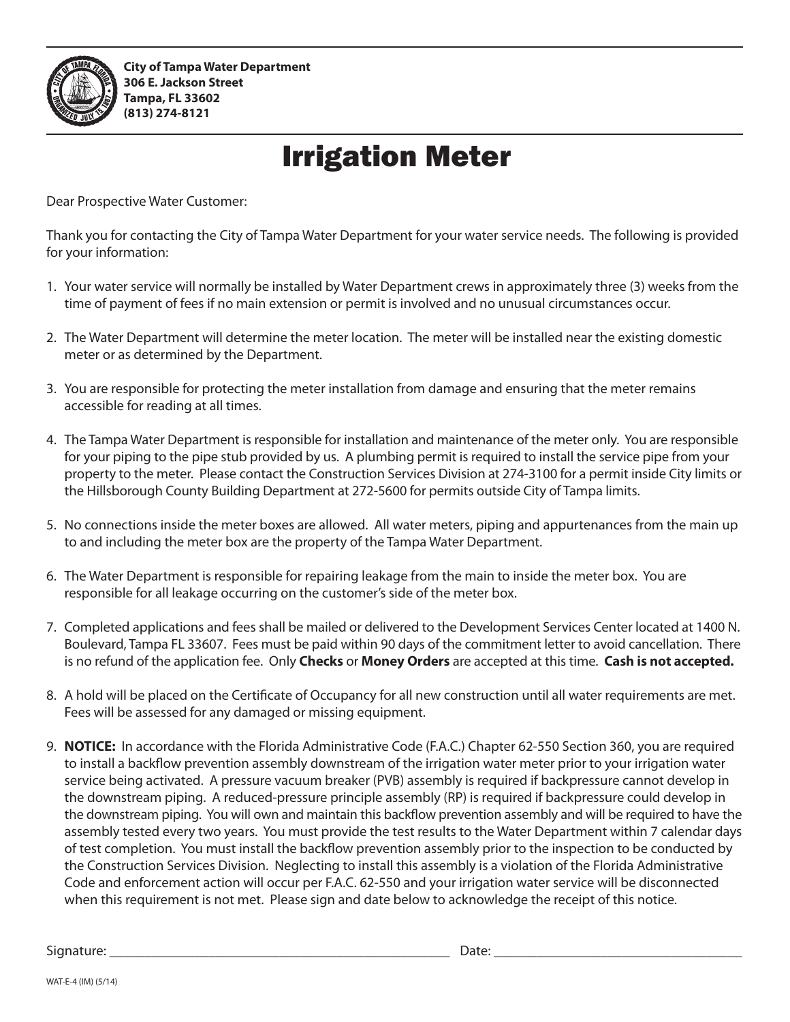

## Irrigation Meter

Dear Prospective Water Customer:

Thank you for contacting the City of Tampa Water Department for your water service needs. The following is provided for your information:

- 1. Your water service will normally be installed by Water Department crews in approximately three (3) weeks from the time of payment of fees if no main extension or permit is involved and no unusual circumstances occur.
- 2. The Water Department will determine the meter location. The meter will be installed near the existing domestic meter or as determined by the Department.
- 3. You are responsible for protecting the meter installation from damage and ensuring that the meter remains accessible for reading at all times.
- 4. The Tampa Water Department is responsible for installation and maintenance of the meter only. You are responsible for your piping to the pipe stub provided by us. A plumbing permit is required to install the service pipe from your property to the meter. Please contact the Construction Services Division at 274-3100 for a permit inside City limits or the Hillsborough County Building Department at 272-5600 for permits outside City of Tampa limits.
- 5. No connections inside the meter boxes are allowed. All water meters, piping and appurtenances from the main up to and including the meter box are the property of the Tampa Water Department.
- 6. The Water Department is responsible for repairing leakage from the main to inside the meter box. You are responsible for all leakage occurring on the customer's side of the meter box.
- 7. Completed applications and fees shall be mailed or delivered to the Development Services Center located at 1400 N. Boulevard, Tampa FL 33607. Fees must be paid within 90 days of the commitment letter to avoid cancellation. There is no refund of the application fee. Only **Checks** or **Money Orders** are accepted at this time. **Cash is not accepted.**
- 8. A hold will be placed on the Certificate of Occupancy for all new construction until all water requirements are met. Fees will be assessed for any damaged or missing equipment.
- 9. **NOTICE:** In accordance with the Florida Administrative Code (F.A.C.) Chapter 62-550 Section 360, you are required to install a backflow prevention assembly downstream of the irrigation water meter prior to your irrigation water service being activated. A pressure vacuum breaker (PVB) assembly is required if backpressure cannot develop in the downstream piping. A reduced-pressure principle assembly (RP) is required if backpressure could develop in the downstream piping. You will own and maintain this backflow prevention assembly and will be required to have the assembly tested every two years. You must provide the test results to the Water Department within 7 calendar days of test completion. You must install the backflow prevention assembly prior to the inspection to be conducted by the Construction Services Division. Neglecting to install this assembly is a violation of the Florida Administrative Code and enforcement action will occur per F.A.C. 62-550 and your irrigation water service will be disconnected when this requirement is not met. Please sign and date below to acknowledge the receipt of this notice.

Signature: \_\_\_\_\_\_\_\_\_\_\_\_\_\_\_\_\_\_\_\_\_\_\_\_\_\_\_\_\_\_\_\_\_\_\_\_\_\_\_\_\_\_\_\_\_\_\_\_ Date: \_\_\_\_\_\_\_\_\_\_\_\_\_\_\_\_\_\_\_\_\_\_\_\_\_\_\_\_\_\_\_\_\_\_\_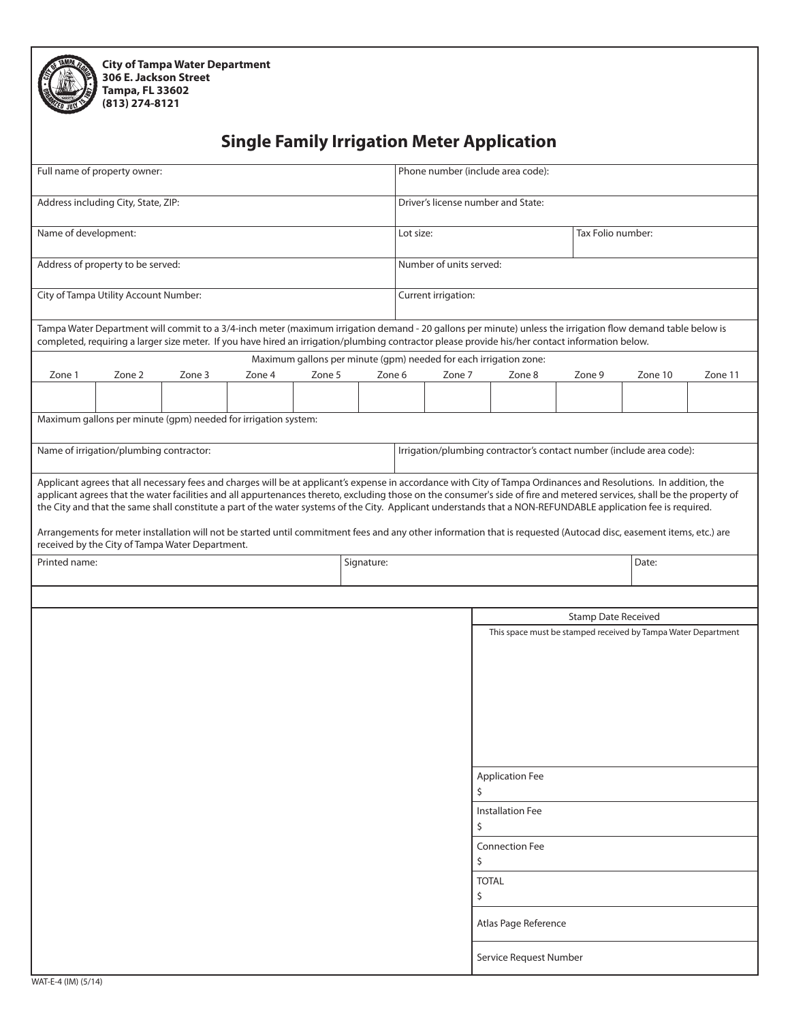| ż |  |
|---|--|
|   |  |

**City of Tampa Water Department 306 E. Jackson Street Tampa, FL 33602 (813) 274-8121**

## **Single Family Irrigation Meter Application**

| Full name of property owner:                                                                                                                                                                                                                                                                                                                                                                                                                                                                                  |        |        |        | Phone number (include area code):                                 |                                                               |  |                   |              |                         |                            |                                                                      |         |
|---------------------------------------------------------------------------------------------------------------------------------------------------------------------------------------------------------------------------------------------------------------------------------------------------------------------------------------------------------------------------------------------------------------------------------------------------------------------------------------------------------------|--------|--------|--------|-------------------------------------------------------------------|---------------------------------------------------------------|--|-------------------|--------------|-------------------------|----------------------------|----------------------------------------------------------------------|---------|
| Address including City, State, ZIP:                                                                                                                                                                                                                                                                                                                                                                                                                                                                           |        |        |        | Driver's license number and State:                                |                                                               |  |                   |              |                         |                            |                                                                      |         |
| Name of development:                                                                                                                                                                                                                                                                                                                                                                                                                                                                                          |        |        |        | Lot size:                                                         |                                                               |  | Tax Folio number: |              |                         |                            |                                                                      |         |
| Address of property to be served:                                                                                                                                                                                                                                                                                                                                                                                                                                                                             |        |        |        | Number of units served:                                           |                                                               |  |                   |              |                         |                            |                                                                      |         |
| City of Tampa Utility Account Number:                                                                                                                                                                                                                                                                                                                                                                                                                                                                         |        |        |        | Current irrigation:                                               |                                                               |  |                   |              |                         |                            |                                                                      |         |
| Tampa Water Department will commit to a 3/4-inch meter (maximum irrigation demand - 20 gallons per minute) unless the irrigation flow demand table below is<br>completed, requiring a larger size meter. If you have hired an irrigation/plumbing contractor please provide his/her contact information below.                                                                                                                                                                                                |        |        |        |                                                                   |                                                               |  |                   |              |                         |                            |                                                                      |         |
|                                                                                                                                                                                                                                                                                                                                                                                                                                                                                                               |        |        |        | Maximum gallons per minute (gpm) needed for each irrigation zone: |                                                               |  |                   |              |                         |                            |                                                                      |         |
| Zone 1                                                                                                                                                                                                                                                                                                                                                                                                                                                                                                        | Zone 2 | Zone 3 | Zone 4 | Zone 5                                                            | Zone 6                                                        |  | Zone 7            |              | Zone 8                  | Zone 9                     | Zone 10                                                              | Zone 11 |
|                                                                                                                                                                                                                                                                                                                                                                                                                                                                                                               |        |        |        |                                                                   |                                                               |  |                   |              |                         |                            |                                                                      |         |
| Maximum gallons per minute (gpm) needed for irrigation system:                                                                                                                                                                                                                                                                                                                                                                                                                                                |        |        |        |                                                                   |                                                               |  |                   |              |                         |                            |                                                                      |         |
| Name of irrigation/plumbing contractor:                                                                                                                                                                                                                                                                                                                                                                                                                                                                       |        |        |        |                                                                   |                                                               |  |                   |              |                         |                            | Irrigation/plumbing contractor's contact number (include area code): |         |
|                                                                                                                                                                                                                                                                                                                                                                                                                                                                                                               |        |        |        |                                                                   |                                                               |  |                   |              |                         |                            |                                                                      |         |
| Applicant agrees that all necessary fees and charges will be at applicant's expense in accordance with City of Tampa Ordinances and Resolutions. In addition, the<br>applicant agrees that the water facilities and all appurtenances thereto, excluding those on the consumer's side of fire and metered services, shall be the property of<br>the City and that the same shall constitute a part of the water systems of the City. Applicant understands that a NON-REFUNDABLE application fee is required. |        |        |        |                                                                   |                                                               |  |                   |              |                         |                            |                                                                      |         |
| Arrangements for meter installation will not be started until commitment fees and any other information that is requested (Autocad disc, easement items, etc.) are<br>received by the City of Tampa Water Department.                                                                                                                                                                                                                                                                                         |        |        |        |                                                                   |                                                               |  |                   |              |                         |                            |                                                                      |         |
| Printed name:<br>Signature:                                                                                                                                                                                                                                                                                                                                                                                                                                                                                   |        |        |        |                                                                   |                                                               |  |                   | Date:        |                         |                            |                                                                      |         |
|                                                                                                                                                                                                                                                                                                                                                                                                                                                                                                               |        |        |        |                                                                   |                                                               |  |                   |              |                         |                            |                                                                      |         |
|                                                                                                                                                                                                                                                                                                                                                                                                                                                                                                               |        |        |        |                                                                   |                                                               |  |                   |              |                         | <b>Stamp Date Received</b> |                                                                      |         |
|                                                                                                                                                                                                                                                                                                                                                                                                                                                                                                               |        |        |        |                                                                   | This space must be stamped received by Tampa Water Department |  |                   |              |                         |                            |                                                                      |         |
|                                                                                                                                                                                                                                                                                                                                                                                                                                                                                                               |        |        |        |                                                                   |                                                               |  |                   |              |                         |                            |                                                                      |         |
|                                                                                                                                                                                                                                                                                                                                                                                                                                                                                                               |        |        |        |                                                                   |                                                               |  |                   |              |                         |                            |                                                                      |         |
|                                                                                                                                                                                                                                                                                                                                                                                                                                                                                                               |        |        |        |                                                                   |                                                               |  |                   |              |                         |                            |                                                                      |         |
|                                                                                                                                                                                                                                                                                                                                                                                                                                                                                                               |        |        |        |                                                                   |                                                               |  |                   |              |                         |                            |                                                                      |         |
|                                                                                                                                                                                                                                                                                                                                                                                                                                                                                                               |        |        |        |                                                                   |                                                               |  |                   |              |                         |                            |                                                                      |         |
|                                                                                                                                                                                                                                                                                                                                                                                                                                                                                                               |        |        |        |                                                                   |                                                               |  |                   |              |                         |                            |                                                                      |         |
|                                                                                                                                                                                                                                                                                                                                                                                                                                                                                                               |        |        |        |                                                                   |                                                               |  |                   | Ś.           | <b>Application Fee</b>  |                            |                                                                      |         |
|                                                                                                                                                                                                                                                                                                                                                                                                                                                                                                               |        |        |        |                                                                   |                                                               |  |                   |              | <b>Installation Fee</b> |                            |                                                                      |         |
|                                                                                                                                                                                                                                                                                                                                                                                                                                                                                                               |        |        |        |                                                                   |                                                               |  |                   | \$           |                         |                            |                                                                      |         |
|                                                                                                                                                                                                                                                                                                                                                                                                                                                                                                               |        |        |        |                                                                   |                                                               |  |                   | \$           | <b>Connection Fee</b>   |                            |                                                                      |         |
|                                                                                                                                                                                                                                                                                                                                                                                                                                                                                                               |        |        |        |                                                                   |                                                               |  |                   | <b>TOTAL</b> |                         |                            |                                                                      |         |
|                                                                                                                                                                                                                                                                                                                                                                                                                                                                                                               |        |        |        |                                                                   |                                                               |  |                   | \$           |                         |                            |                                                                      |         |
|                                                                                                                                                                                                                                                                                                                                                                                                                                                                                                               |        |        |        |                                                                   |                                                               |  |                   |              | Atlas Page Reference    |                            |                                                                      |         |
|                                                                                                                                                                                                                                                                                                                                                                                                                                                                                                               |        |        |        |                                                                   |                                                               |  |                   |              | Service Request Number  |                            |                                                                      |         |